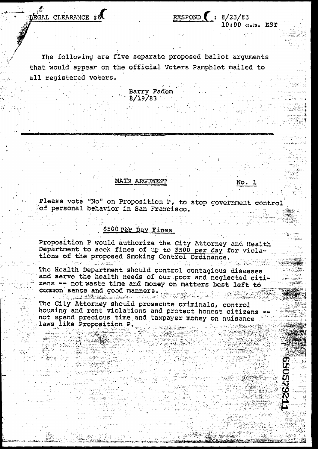ÉGAL CLEARANCE #6

The following are five separate proposed ballot arguments that would appear on the official Voters Pamphlet mailed to all registered voters.

> Barry Fadem  $8/19/83$

### MAIN ARGUMENT

No. 1

神想的

in An

10:00 a.m. EST

RESPOND  $\left( : 8/23/83 \right)$ 

Please vote "No" on Proposition P, to stop government control of personal behavior in San Francisco.

# \$500 Par Day Fines

.<br>Tudomi Alexandria

Proposition P would authorize the City Attorney and Health Department to seek fines of up to \$500 per day for violations of the proposed Smoking Control Ordinance.

The Health Department should control contagious diseases and serve the health needs of our poor and neglected citizens -- not waste time and money on matters best left to common sense and good manners.<br>A common sense and good manners.

The City Attorney should prosecute criminals, control housing and rent violations and protect honest citizens not spend precious time and taxpayer money on nuisance laws like Proposition P. oper contractors that out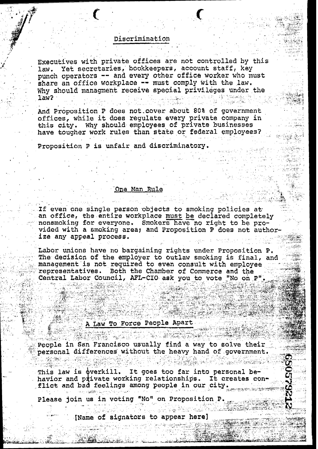### Discrimination

Executives with private offices are not controlled by this Yet secretaries, bookkeepers, account staff, key law. punch operators -- and every other office worker who must share an office workplace -- must comply with the law. Why should managment receive special privileges under the  $1$ aw $2$ 

And Proposition P does not cover about 80% of government offices, while it does requlate every private company in this city. Why should employees of private businesses have tougher work rules than state or federal employees?

Proposition P is unfair and discriminatory.

### One Man Rule

If even one single person objects to smoking policies at an office, the entire workplace must be declared completely nonsmoking for everyone. Smokers have no right to be provided with a smoking area; and Proposition P does not authorize any appeal process.

Labor unions have no bargaining rights under Proposition P. The decision of the employer to outlaw smoking is final, and management is not required to even consult with employee Both the Chamber of Commerce and the representatives. Central Labor Council, AFL-CIO ask you to vote "No on P"

# A Law To Force People Apart

್ತಾಲಿಕಾರ್

People in San Francisco usually find a way to solve their personal differences without the heavy hand of government.

Den Lathern Golden

This law is overkill. It goes too far into personal behavior and piivate working relationships. It creates con flict and bad feelings among people in our city.

Please join us in voting "No" on Proposition P.

[Name of signators to appear here]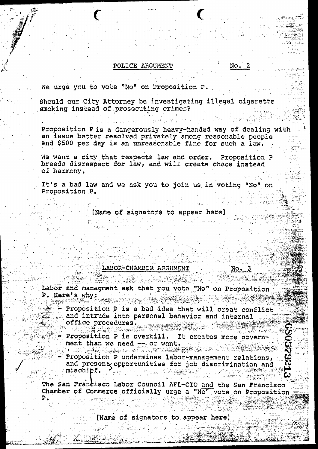### POLICE ARGUMENT

We urge you to vote "No" on Proposition P.

Should our City Attorney be investigating illegal cigarette smoking instead of prosecuting crimes?

Proposition P is a dangerously heavy-handed way of dealing with an issue better resolved privately among reasonable people and \$500 per day is an unreasonable fine for such a law.

We want a city that respects law and order. Proposition P breeds disrespect for law, and will create chaos instead of harmony.

It's a bad law and we ask you to join us in voting "No" on Proposition P.

[Name of signators to appear here]

### LABOR-CHAMBER ARGUMENT

No.

No.

 $\mathbf{2}$ 

Labor and managment ask that you vote "No" on Proposition P. Here's why:

Proposition P is a bad idea that will creat conflict and intrude into personal behavior and internal office procedures. 

Proposition P is overkill. It creates more government than we need -- or want.

Proposition P undermines labor-management relations, and present opportunities for job discrimination and mischief.

The San Francisco Labor Council AFL-CIO and the San Francisco Chamber of Commerce officially urge a "No" vote on Proposition Р.

[Name of signators to appear here]